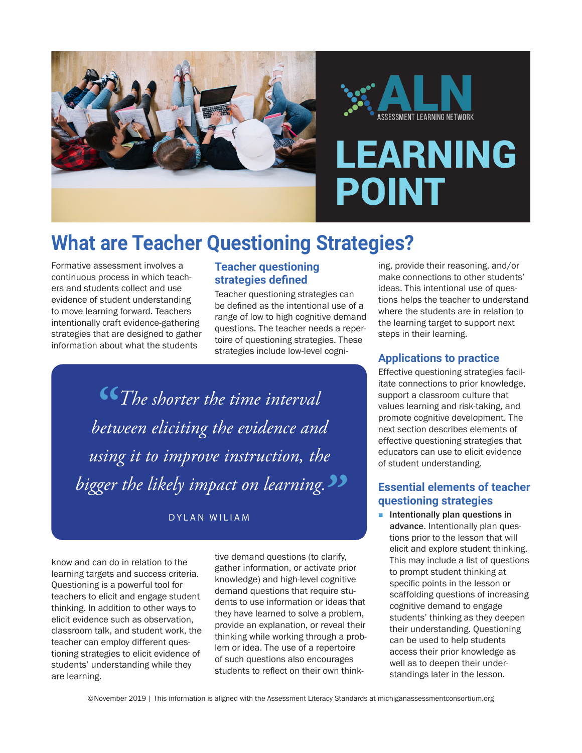



# LEARNING POINT

## **What are Teacher Questioning Strategies?**

Formative assessment involves a continuous process in which teachers and students collect and use evidence of student understanding to move learning forward. Teachers intentionally craft evidence-gathering strategies that are designed to gather information about what the students

## **Teacher questioning strategies defined**

Teacher questioning strategies can be defined as the intentional use of a range of low to high cognitive demand questions. The teacher needs a repertoire of questioning strategies. These strategies include low-level cogni-

**"***The shorter the time interval between eliciting the evidence and using it to improve instruction, the bigger the likely impact on learning."*

DYLAN WILIAM

know and can do in relation to the learning targets and success criteria. Questioning is a powerful tool for teachers to elicit and engage student thinking. In addition to other ways to elicit evidence such as observation, classroom talk, and student work, the teacher can employ different questioning strategies to elicit evidence of students' understanding while they are learning.

tive demand questions (to clarify, gather information, or activate prior knowledge) and high-level cognitive demand questions that require students to use information or ideas that they have learned to solve a problem, provide an explanation, or reveal their thinking while working through a problem or idea. The use of a repertoire of such questions also encourages students to reflect on their own thinking, provide their reasoning, and/or make connections to other students' ideas. This intentional use of questions helps the teacher to understand where the students are in relation to the learning target to support next steps in their learning.

### **Applications to practice**

Effective questioning strategies facilitate connections to prior knowledge, support a classroom culture that values learning and risk-taking, and promote cognitive development. The next section describes elements of effective questioning strategies that educators can use to elicit evidence of student understanding.

### **Essential elements of teacher questioning strategies**

 $\blacksquare$  Intentionally plan questions in advance. Intentionally plan questions prior to the lesson that will elicit and explore student thinking. This may include a list of questions to prompt student thinking at specific points in the lesson or scaffolding questions of increasing cognitive demand to engage students' thinking as they deepen their understanding. Questioning can be used to help students access their prior knowledge as well as to deepen their understandings later in the lesson.